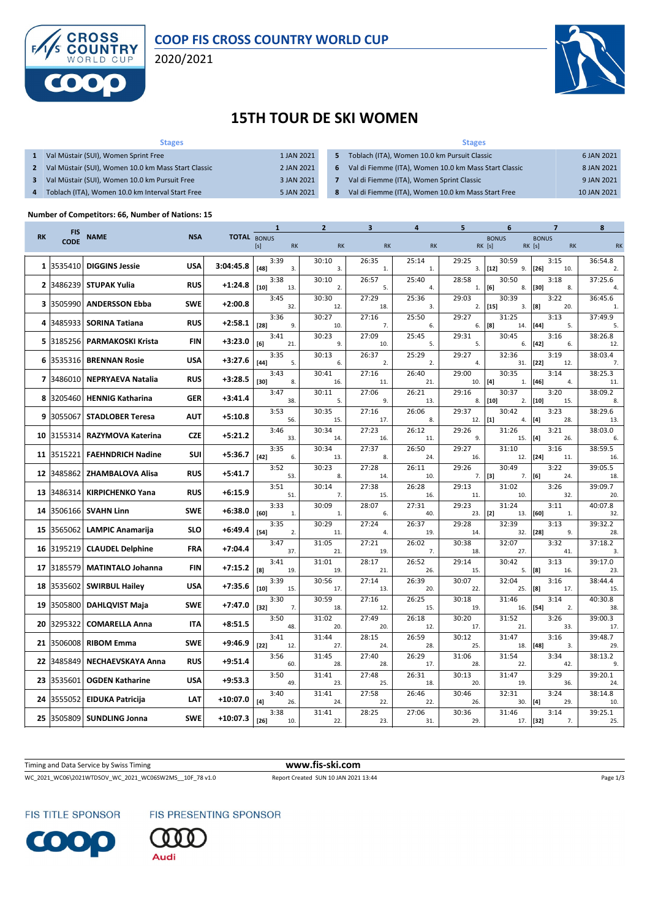

## **COOP FIS CROSS COUNTRY WORLD CUP**

2020/2021



### **15TH TOUR DE SKI WOMEN**

| <b>Stages</b>                                       |            |                | <b>Stages</b>                                         |             |
|-----------------------------------------------------|------------|----------------|-------------------------------------------------------|-------------|
| Val Müstair (SUI), Women Sprint Free                | 1 JAN 2021 | 5.             | Toblach (ITA), Women 10.0 km Pursuit Classic          | 6 JAN 2021  |
| Val Müstair (SUI), Women 10.0 km Mass Start Classic | 2 JAN 2021 | 6              | Val di Fiemme (ITA), Women 10.0 km Mass Start Classic | 8 JAN 2021  |
| Val Müstair (SUI), Women 10.0 km Pursuit Free       | 3 JAN 2021 |                | Val di Fiemme (ITA), Women Sprint Classic             | 9 JAN 2021  |
| Toblach (ITA), Women 10.0 km Interval Start Free    | 5 JAN 2021 | 8 <sup>1</sup> | Val di Fiemme (ITA), Women 10.0 km Mass Start Free    | 10 JAN 2021 |

#### **Number of Competitors: 66, Number of Nations: 15**

|           |                           |                             |            |                    | 1                     | $\mathbf{z}$ | 3            | 4            | 5                  | 6                        | 7                                          | 8              |
|-----------|---------------------------|-----------------------------|------------|--------------------|-----------------------|--------------|--------------|--------------|--------------------|--------------------------|--------------------------------------------|----------------|
| <b>RK</b> | <b>FIS</b><br><b>CODE</b> | <b>NAME</b>                 | <b>NSA</b> | <b>TOTAL BONUS</b> | [s]<br><b>RK</b>      | <b>RK</b>    | <b>RK</b>    | <b>RK</b>    |                    | <b>BONUS</b><br>RK [s]   | <b>BONUS</b><br><b>RK</b> [s]<br><b>RK</b> | <b>RK</b>      |
| 1         | 3535410                   | <b>DIGGINS Jessie</b>       | <b>USA</b> | 3:04:45.8          | 3:39<br>$[48]$<br>3.  | 30:10<br>3.  | 26:35<br>1.  | 25:14<br>1.  | 29:25              | 30:59<br>$3.$ [12]<br>9. | 3:15<br>$[26]$<br>10.                      | 36:54.8<br>2.  |
|           |                           | 2 3486239 STUPAK Yulia      | <b>RUS</b> | $+1:24.8$          | 3:38<br>$[10]$<br>13. | 30:10<br>2.  | 26:57<br>5.  | 25:40<br>4.  | 28:58<br>1.        | 30:50<br>[6]<br>8.       | 3:18<br>$[30]$<br>8.                       | 37:25.6<br>4.  |
| 3         | 3505990                   | <b>ANDERSSON Ebba</b>       | <b>SWE</b> | $+2:00.8$          | 3:45<br>32.           | 30:30<br>12. | 27:29<br>18. | 25:36<br>3.  | 29:03              | 30:39<br>$2.$ [15]<br>3. | 3:22<br>[8]<br>20.                         | 36:45.6<br>1.  |
|           | 3485933                   | <b>SORINA Tatiana</b>       | <b>RUS</b> | $+2:58.1$          | 3:36<br>$[28]$<br>9.  | 30:27<br>10. | 27:16<br>7.  | 25:50<br>6.  | 29:27<br>6.        | 31:25<br>[8]<br>14.      | 3:13<br>$[44]$<br>5.                       | 37:49.9<br>5.  |
|           |                           | 5 3185256 PARMAKOSKI Krista | <b>FIN</b> | $+3:23.0$          | 3:41<br>[6]<br>21.    | 30:23<br>9.  | 27:09<br>10. | 25:45<br>5.  | 29:31<br>5.        | 30:45<br>6.              | 3:16<br>$[42]$<br>6.                       | 38:26.8<br>12. |
| 6         | 3535316                   | <b>BRENNAN Rosie</b>        | <b>USA</b> | $+3:27.6$          | 3:35<br>$[44]$<br>5.  | 30:13<br>6.  | 26:37<br>2.  | 25:29<br>2.  | 29:27<br>4.        | 32:36<br>31.             | 3:19<br>$[22]$<br>12.                      | 38:03.4<br>7.  |
|           |                           | 7 3486010 NEPRYAEVA Natalia | <b>RUS</b> | $+3:28.5$          | 3:43<br>[30]<br>8.    | 30:41<br>16. | 27:16<br>11. | 26:40<br>21. | 29:00<br>10.       | 30:35<br>[4]<br>1.       | 3:14<br>$[46]$<br>4.                       | 38:25.3<br>11. |
| 8         | 3205460                   | <b>HENNIG Katharina</b>     | <b>GER</b> | $+3:41.4$          | 3:47<br>38.           | 30:11<br>5.  | 27:06<br>9.  | 26:21<br>13. | 29:16<br>8.        | 30:37<br>$[10]$<br>2.    | 3:20<br>$[10]$<br>15.                      | 38:09.2<br>8.  |
| 9         | 3055067                   | <b>STADLOBER Teresa</b>     | <b>AUT</b> | $+5:10.8$          | 3:53<br>56.           | 30:35<br>15. | 27:16<br>17. | 26:06<br>8.  | 29:37<br>$12.$ [1] | 30:42<br>4.              | 3:23<br>[4]<br>28.                         | 38:29.6<br>13. |
| 10        |                           | 3155314 RAZYMOVA Katerina   | <b>CZE</b> | $+5:21.2$          | 3:46<br>33.           | 30:34<br>14. | 27:23<br>16. | 26:12<br>11. | 29:26<br>9.        | 31:26<br>15.             | 3:21<br>$[4]$<br>26.                       | 38:03.0<br>6.  |
|           | 11 3515221                | <b>FAEHNDRICH Nadine</b>    | SUI        | $+5:36.7$          | 3:35<br>$[42]$<br>6.  | 30:34<br>13. | 27:37<br>8.  | 26:50<br>24. | 29:27<br>16.       | 31:10<br>12.             | 3:16<br>$[24]$<br>11.                      | 38:59.5<br>16. |
| 12        | 3485862                   | <b>ZHAMBALOVA Alisa</b>     | <b>RUS</b> | $+5:41.7$          | 3:52<br>53.           | 30:23<br>8.  | 27:28<br>14. | 26:11<br>10. | 29:26<br>$7.$ [3]  | 30:49<br>7.              | 3:22<br>[6]<br>24.                         | 39:05.5<br>18. |
| 13        |                           | 3486314 KIRPICHENKO Yana    | <b>RUS</b> | $+6:15.9$          | 3:51<br>51.           | 30:14<br>7.  | 27:38<br>15. | 26:28<br>16. | 29:13<br>11.       | 31:02<br>10.             | 3:26<br>32.                                | 39:09.7<br>20. |
| 14        |                           | 3506166   SVAHN Linn        | <b>SWE</b> | $+6:38.0$          | 3:33<br>[60]<br>1.    | 30:09<br>1.  | 28:07<br>6.  | 27:31<br>40. | 29:23<br>23.       | 31:24<br>[2]<br>13.      | 3:11<br>[60]<br>1.                         | 40:07.8<br>32. |
| 15        |                           | 3565062 LAMPIC Anamarija    | <b>SLO</b> | $+6:49.4$          | 3:35<br>$[54]$<br>2.  | 30:29<br>11. | 27:24<br>4.  | 26:37<br>19. | 29:28<br>14.       | 32:39<br>32.             | 3:13<br>$[28]$<br>9.                       | 39:32.2<br>28. |
| 16        |                           | 3195219 CLAUDEL Delphine    | <b>FRA</b> | $+7:04.4$          | 3:47<br>37.           | 31:05<br>21. | 27:21<br>19. | 26:02<br>7.  | 30:38<br>18.       | 32:07<br>27.             | 3:32<br>41.                                | 37:18.2<br>3.  |
|           | 17 3185579                | <b>MATINTALO Johanna</b>    | <b>FIN</b> | +7:15.2            | 3:41<br>[8]<br>19.    | 31:01<br>19. | 28:17<br>21. | 26:52<br>26. | 29:14<br>15.       | 30:42<br>5.              | 3:13<br>[8]<br>16.                         | 39:17.0<br>23  |
| 18        |                           | 3535602 SWIRBUL Hailey      | <b>USA</b> | $+7:35.6$          | 3:39<br>$[10]$<br>15. | 30:56<br>17. | 27:14<br>13. | 26:39<br>20. | 30:07<br>22.       | 32:04<br>25.             | 3:16<br>[8]<br>17.                         | 38:44.4<br>15. |
| 19        |                           | 3505800 DAHLQVIST Maja      | <b>SWE</b> | $+7:47.0$          | 3:30<br>$[32]$<br>7.  | 30:59<br>18. | 27:16<br>12. | 26:25<br>15. | 30:18<br>19.       | 31:46<br>16.             | 3:14<br>$[54]$<br>2.                       | 40:30.8<br>38  |
| 20        | 3295322                   | <b>COMARELLA Anna</b>       | <b>ITA</b> | $+8:51.5$          | 3:50<br>48.           | 31:02<br>20. | 27:49<br>20. | 26:18<br>12. | 30:20<br>17.       | 31:52<br>21.             | 3:26<br>33.                                | 39:00.3<br>17. |
| 21        |                           | 3506008 RIBOM Emma          | <b>SWE</b> | $+9:46.9$          | 3:41<br>$[22]$<br>12. | 31:44<br>27. | 28:15<br>24. | 26:59<br>28. | 30:12<br>25.       | 31:47<br>18.             | 3:16<br>$[48]$<br>3.                       | 39:48.7<br>29. |
| 22        | 3485849                   | <b>NECHAEVSKAYA Anna</b>    | <b>RUS</b> | $+9:51.4$          | 3:56<br>60.           | 31:45<br>28. | 27:40<br>28. | 26:29<br>17. | 31:06<br>28.       | 31:54<br>22.             | 3:34<br>42.                                | 38:13.2<br>9.  |
| 23        | 3535601                   | <b>OGDEN Katharine</b>      | <b>USA</b> | $+9:53.3$          | 3:50<br>49.           | 31:41<br>23. | 27:48<br>25. | 26:31<br>18. | 30:13<br>20.       | 31:47<br>19.             | 3:29<br>36.                                | 39:20.1<br>24. |
| 24        | 3555052                   | <b>EIDUKA Patricija</b>     | <b>LAT</b> | $+10:07.0$         | 3:40<br>[4]<br>26.    | 31:41<br>24. | 27:58<br>22. | 26:46<br>22. | 30:46<br>26.       | 32:31<br>30.             | 3:24<br>$[4]$<br>29.                       | 38:14.8<br>10. |
| 25        |                           | 3505809 SUNDLING Jonna      | <b>SWE</b> | $+10:07.3$         | 3:38<br>$[26]$<br>10. | 31:41<br>22. | 28:25<br>23. | 27:06<br>31. | 30:36<br>29.       | 31:46                    | 3:14<br>17. [32]<br>7.                     | 39:25.1<br>25. |

Timing and Data Service by Swiss Timing **www.fis-ski.com**

WC\_2021\_WC06\2021WTDSOV\_WC\_2021\_WC06SW2MS\_\_10F\_78 v1.0 Report Created SUN 10 JAN 2021 13:44 Page 1/3

FIS TITLE SPONSOR



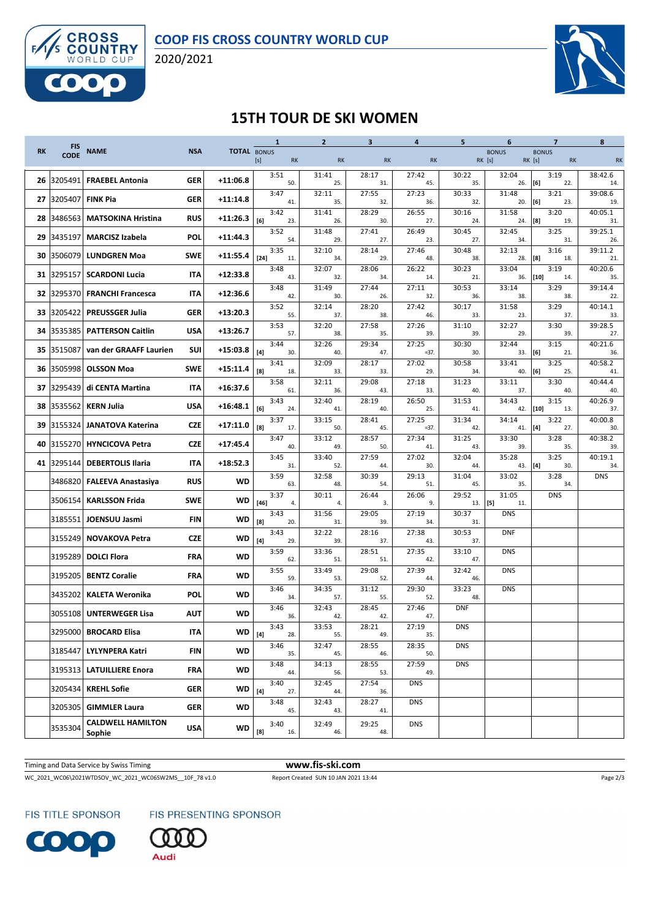

2020/2021



### **15TH TOUR DE SKI WOMEN**

|           | <b>FIS</b>  |                                    |            |                    | $\mathbf{1}$          | $\overline{2}$ | $\overline{\mathbf{3}}$ | 4               | 5                  | 6                             | $\overline{7}$                      | 8              |
|-----------|-------------|------------------------------------|------------|--------------------|-----------------------|----------------|-------------------------|-----------------|--------------------|-------------------------------|-------------------------------------|----------------|
| <b>RK</b> | <b>CODE</b> | <b>NAME</b>                        | <b>NSA</b> | <b>TOTAL BONUS</b> | [s]<br><b>RK</b>      | <b>RK</b>      | <b>RK</b>               | <b>RK</b>       |                    | <b>BONUS</b><br><b>RK</b> [s] | <b>BONUS</b><br>RK [s]<br><b>RK</b> | <b>RK</b>      |
|           | 26 3205491  | <b>FRAEBEL Antonia</b>             | <b>GER</b> | $+11:06.8$         | 3:51<br>50.           | 31:41<br>25.   | 28:17<br>31.            | 27:42<br>45.    | 30:22<br>35.       | 32:04<br>26. [6]              | 3:19<br>22.                         | 38:42.6<br>14. |
| 27        | 3205407     | <b>FINK Pia</b>                    | GER        | $+11:14.8$         | 3:47<br>41.           | 32:11<br>35.   | 27:55<br>32.            | 27:23<br>36.    | 30:33<br>32.       | 31:48<br>20.                  | 3:21<br>[6]<br>23.                  | 39:08.6<br>19  |
| 28        | 3486563     | <b>MATSOKINA Hristina</b>          | <b>RUS</b> | +11:26.3           | 3:42<br>[6]<br>23.    | 31:41<br>26.   | 28:29<br>30.            | 26:55<br>27.    | 30:16<br>24.       | 31:58<br>24.                  | 3:20<br>[8]<br>19.                  | 40:05.1<br>31. |
| 29        | 3435197     | <b>MARCISZ Izabela</b>             | POL        | +11:44.3           | 3:52<br>54.           | 31:48<br>29.   | 27:41<br>27.            | 26:49<br>23.    | 30:45<br>27.       | 32:45<br>34.                  | 3:25<br>31.                         | 39:25.1<br>26. |
| 30        | 3506079     | <b>LUNDGREN Moa</b>                | SWE        | +11:55.4           | 3:35<br>$[24]$<br>11. | 32:10<br>34.   | 28:14<br>29.            | 27:46<br>48.    | 30:48<br>38.       | 32:13<br>28.                  | 3:16<br>[8]<br>18.                  | 39:11.2<br>21. |
| 31        | 3295157     | <b>SCARDONI Lucia</b>              | ITA        | $+12:33.8$         | 3:48<br>43.           | 32:07<br>32.   | 28:06<br>34.            | 26:22<br>14.    | 30:23<br>21.       | 33:04<br>36.                  | 3:19<br>$[10]$<br>14.               | 40:20.6<br>35. |
| 32        |             | 3295370 FRANCHI Francesca          | IΤΑ        | +12:36.6           | 3:48<br>42.           | 31:49<br>30.   | 27:44<br>26.            | 27:11<br>32.    | 30:53<br>36.       | 33:14<br>38.                  | 3:29<br>38.                         | 39:14.4<br>22. |
|           |             | 33 3205422 PREUSSGER Julia         | <b>GER</b> | +13:20.3           | 3:52<br>55.           | 32:14<br>37.   | 28:20<br>38.            | 27:42<br>46.    | 30:17<br>33.       | 31:58<br>23.                  | 3:29<br>37.                         | 40:14.1<br>33  |
| 34        | 3535385     | <b>PATTERSON Caitlin</b>           | USA        | +13:26.7           | 3:53<br>57.           | 32:20<br>38.   | 27:58<br>35.            | 27:26<br>39.    | 31:10<br>39.       | 32:27<br>29.                  | 3:30<br>39.                         | 39:28.5<br>27. |
|           | 35 3515087  | van der GRAAFF Laurien             | SUI        | +15:03.8           | 3:44<br>[4]<br>30.    | 32:26<br>40.   | 29:34<br>47.            | 27:25<br>$=37.$ | 30:30<br>30.       | 32:44<br>33. [6]              | 3:15<br>21.                         | 40:21.6<br>36. |
| 36        |             | 3505998   OLSSON Moa               | <b>SWE</b> | +15:11.4           | 3:41<br>[8]<br>18.    | 32:09<br>33.   | 28:17<br>33.            | 27:02<br>29.    | 30:58<br>34.       | 33:41<br>40.                  | 3:25<br>[6]<br>25.                  | 40:58.2<br>41. |
| 37        | 3295439     | di CENTA Martina                   | ITA        | +16:37.6           | 3:58<br>61.           | 32:11<br>36.   | 29:08<br>43.            | 27:18<br>33.    | 31:23<br>40.       | 33:11<br>37.                  | 3:30<br>40.                         | 40:44.4<br>40. |
| 38        | 3535562     | KERN Julia                         | <b>USA</b> | +16:48.1           | 3:43<br>[6]<br>24.    | 32:40<br>41.   | 28:19<br>40.            | 26:50<br>25.    | 31:53<br>41.       | 34:43<br>42.                  | 3:15<br>$[10]$<br>13.               | 40:26.9<br>37. |
| 39        | 3155324     | JANATOVA Katerina                  | <b>CZE</b> | $+17:11.0$         | 3:37<br>[8]<br>17.    | 33:15<br>50.   | 28:41<br>45.            | 27:25<br>$=37.$ | 31:34<br>42.       | 34:14<br>41.                  | 3:22<br>[4]<br>27.                  | 40:00.8<br>30. |
| 40        |             | 3155270 HYNCICOVA Petra            | <b>CZE</b> | $+17:45.4$         | 3:47<br>40.           | 33:12<br>49.   | 28:57<br>50.            | 27:34<br>41.    | 31:25<br>43.       | 33:30<br>39.                  | 3:28<br>35.                         | 40:38.2<br>39. |
|           | 41 3295144  | <b>DEBERTOLIS Ilaria</b>           | <b>ITA</b> | $+18:52.3$         | 3:45<br>31.           | 33:40<br>52.   | 27:59<br>44.            | 27:02<br>30.    | 32:04<br>44.       | 35:28<br>43.                  | 3:25<br>[4]<br>30.                  | 40:19.1<br>34  |
|           |             | 3486820   FALEEVA Anastasiya       | <b>RUS</b> | WD                 | 3:59<br>63.           | 32:58<br>48.   | 30:39<br>54.            | 29:13<br>51.    | 31:04<br>45.       | 33:02<br>35.                  | 3:28<br>34.                         | <b>DNS</b>     |
|           | 3506154     | <b>KARLSSON Frida</b>              | <b>SWE</b> | WD                 | 3:37<br>$[46]$<br>4.  | 30:11<br>4.    | 26:44<br>3.             | 26:06<br>9.     | 29:52<br>$13.$ [5] | 31:05<br>11.                  | <b>DNS</b>                          |                |
|           | 3185551     | JOENSUU Jasmi                      | <b>FIN</b> | WD                 | 3:43<br>[8]<br>20.    | 31:56<br>31.   | 29:05<br>39.            | 27:19<br>34.    | 30:37<br>31.       | <b>DNS</b>                    |                                     |                |
|           | 3155249     | <b>NOVAKOVA Petra</b>              | <b>CZE</b> | WD                 | 3:43<br>[4]<br>29.    | 32:22<br>39.   | 28:16<br>37.            | 27:38<br>43.    | 30:53<br>37.       | <b>DNF</b>                    |                                     |                |
|           | 3195289     | <b>DOLCI Flora</b>                 | <b>FRA</b> | WD                 | 3:59<br>62.           | 33:36<br>51.   | 28:51<br>51.            | 27:35<br>42.    | 33:10<br>47.       | <b>DNS</b>                    |                                     |                |
|           | 3195205     | <b>BENTZ Coralie</b>               | <b>FRA</b> | WD                 | 3:55<br>59.           | 33:49<br>53.   | 29:08<br>52.            | 27:39<br>44.    | 32:42<br>46.       | <b>DNS</b>                    |                                     |                |
|           | 3435202     | <b>KALETA Weronika</b>             | <b>POL</b> | WD                 | 3:46<br>34.           | 34:35<br>57.   | 31:12<br>55.            | 29:30<br>52.    | 33:23<br>48.       | <b>DNS</b>                    |                                     |                |
|           | 3055108     | <b>UNTERWEGER Lisa</b>             | <b>AUT</b> | <b>WD</b>          | 3:46<br>36.           | 32:43<br>42.   | 28:45<br>42.            | 27:46<br>47.    | <b>DNF</b>         |                               |                                     |                |
|           |             | 3295000 BROCARD Elisa              | <b>ITA</b> | WD                 | 3:43<br>28.           | 33:53<br>55.   | 28:21<br>49.            | 27:19<br>35.    | <b>DNS</b>         |                               |                                     |                |
|           | 3185447     | <b>LYLYNPERA Katri</b>             | <b>FIN</b> | WD                 | 3:46<br>35.           | 32:47<br>45.   | 28:55<br>46.            | 28:35<br>50.    | <b>DNS</b>         |                               |                                     |                |
|           |             | 3195313   LATUILLIERE Enora        | FRA        | WD                 | 3:48<br>44.           | 34:13<br>56.   | 28:55<br>53.            | 27:59<br>49.    | <b>DNS</b>         |                               |                                     |                |
|           |             | 3205434 KREHL Sofie                | <b>GER</b> | WD                 | 3:40<br>$[4]$<br>27.  | 32:45<br>44.   | 27:54<br>36.            | <b>DNS</b>      |                    |                               |                                     |                |
|           | 3205305     | <b>GIMMLER Laura</b>               | <b>GER</b> | WD                 | 3:48<br>45.           | 32:43<br>43.   | 28:27<br>41.            | <b>DNS</b>      |                    |                               |                                     |                |
|           | 3535304     | <b>CALDWELL HAMILTON</b><br>Sophie | <b>USA</b> | WD                 | 3:40<br>[8]<br>16.    | 32:49<br>46.   | 29:25<br>48.            | <b>DNS</b>      |                    |                               |                                     |                |
|           |             |                                    |            |                    |                       |                |                         |                 |                    |                               |                                     |                |

Timing and Data Service by Swiss Timing **www.fis-ski.com**

WC\_2021\_WC06\2021WTDSOV\_WC\_2021\_WC06SW2MS\_\_10F\_78 v1.0 Report Created SUN 10 JAN 2021 13:44 Page 2/3

FIS TITLE SPONSOR